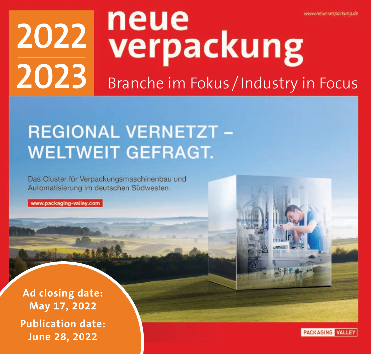# neue www.neue-verpackung.de **2022** 2022 **Verpackung**<br>2023 Branche im Fokus / Industry in Focus

## **REGIONAL VERNETZT -WELTWEIT GEFRAGT.**

Das Cluster für Verpackungsmaschinenbau und Automatisierung im deutschen Südwesten.

www.packaging-valley.com

**Ad closing date: May 17, 2022 Publication date: June 28, 2022**

PACKAGING VALLEY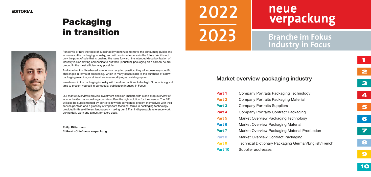### Market overview packaging industry

| Part 1 | Company Portraits Packaging Technology               |
|--------|------------------------------------------------------|
| Part 2 | Company Portraits Packaging Material                 |
| Part 3 | <b>Company Portraits Suppliers</b>                   |
| Part 4 | Company Portraits Contract Packaging                 |
| Part 5 | Market Overview Packaging Technology                 |
| Part 6 | Market Overview Packaging Material                   |
| Part 7 | Market Overview Packaging Material Production        |
| Part 8 | Market Overview Contract Packaging                   |
| Part 9 | Technical Dictionary Packaging German/English/French |
|        |                                                      |

Part 10 Supplier addresses

- 
- 
- 
- 
- 
- 
- 
- 
- 

Pandemic or not: the topic of sustainability continues to move the consuming public and in turn also the packaging industry, and will continue to do so in the future. Yet it is not only the point of sale that is pushing the issue forward; the intended decarbonisation of industry is also driving companies to put their (industrial) packaging on a carbon-neutral ground in the most efficient way possible.

## neue **2022** verpackung **2023 Branche im Fokus Industry in Focus**

And whether it's fibre-based solutions or recycled plastics, they all impose very specific challenges in terms of processing, which in many cases leads to the purchase of a new packaging machine, or at least involves modifying an existing system.



Investment in the packaging industry will therefore continue to be high. So now is a good time to present yourself in our special publication Industry in Focus.

Our market overviews provide investment decision-makers with a one-stop overview of who in the German-speaking countries offers the right solution for their needs. The BiF will also be supplemented by portraits in which companies present themselves with their service portfolio and a glossary of important technical terms in packaging technology provided in three different languages – making our BiF an indispensable reference work during daily work and a must for every desk.

Philip Bittermann Editor-in-Chief neue verpackung

## Packaging in transition

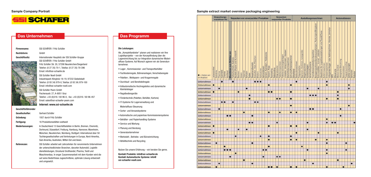Firmenname: SSI SCHÄFER / Fritz Schäfer

Rechtsform: GmbH



#### Geschäftssitz: Internationaler Hauptsitz der SSI Schäfer-Gruppe SSI SCHÄFER / Fritz Schäfer GmbH Fritz Schäfer Str. 20, 57290 Neunkirchen/Siegerland Telefon: (0 27 35) 70-1, Telefax: (0 27 35) 70-396 Email: info@ssi-schaefer.de

SSI Schäfer Noell GmbH Industriepark Klingholz 18-19, 97232 Giebelstadt Telefon: (0 93 34) 979-0, Telefax: (0 93 34) 979-100 Email: info@ssi-schaefer-noell.com SSI Schäfer Peem GmbH

Fischeraustr. 27, A-8051 Graz Telefon: +43 (0)316 / 60 96-0, -fax: +43 (0)316 / 60 96-457 Email: sales@ssi-schaefer-peem.com

#### Internet: www.ssi-schaefer.de

#### Geschäftsführender

Als "Komplettanbieter" planen und realisieren wir Ihre Logistikprojekte – von der Konzeptfindung über die Lagereinrichtung bis zur Integration dynamischer Materialfluss-Systeme. Auf Wunsch agieren wir als Generalunternehmer.

| Gesellschafter:  | Gerhard Schäfer                                                                                                                                                                                                                                                                                                                                           |
|------------------|-----------------------------------------------------------------------------------------------------------------------------------------------------------------------------------------------------------------------------------------------------------------------------------------------------------------------------------------------------------|
| Gründung:        | 1937 durch Fritz Schäfer                                                                                                                                                                                                                                                                                                                                  |
| Fertigung:       | 16 Produktionsstätten weltweit                                                                                                                                                                                                                                                                                                                            |
| Niederlassungen: | In Deutschland 13 Geschäftsstellen in Berlin. Bremen. Chemnitz.<br>Dortmund, Düsseldorf, Freiburg, Hamburg, Hannover, Mannheim,<br>München, Neunkirchen, Nürnberg, Stuttgart. International über 50<br>Tochtergesellschaften und Vertretungen in Europa, Nord-Amerika,<br>Süd-Amerika, Australien, Mittel-Ost und Asien.                                  |
| Referenzen:      | SSI Schäfer arbeitet seit Jahrzehnten für renommierte Unternehmen<br>der unterschiedlichsten Branchen, darunter Automobil, Logistik-<br>dienstleistungen, Einzelund Großhandel, Pharma, Textil und<br>Maschinenbau. In enger Zusammenarbeit mit dem Kunden wird die<br>auf seine Bedürfnisse zugeschnittene, optimale Lösung entwickelt<br>und umgesetzt. |



#### Das Unternehmen Das Programm Das Unternehmen Das Programm

#### Die Leistungen:

- Lager-, Kommissionier- und Transportbehälter
- Fachbodenregale, Bühnenanlagen, Verschieberegale
- Paletten-, Weitspann- und Kragarmregale
- Durchlauf- und Bereitstellregale
- Vollautomatische Hochregalsilos und dynamische Kleinteilelager
- Regalbediengeräte
- Fördertechnik (Paletten, Behälter, Kartons)
- IT-Systeme für Lagerverwaltung und
- Materialfluss-Steuerung
- Sorter- und Versandsysteme
- Automatische und papierlose Kommissioniersysteme
- Behälter- und Papierhandling-Systeme
- Service und Wartung
- Planung und Beratung
- Generalunternehmer
- Werkstatt-, Betriebs- und Büroeinrichtung
- Abfalltechnik und Recycling

Nutzen Sie unsere Erfahrung – wir beraten Sie gerne.

Kontakt Produkte: info@ssi-schaefer.de Kontakt Automatische Systeme: info@ ssi-schaefer-noell.com

#### Sample Company Portrait Sample extract market overview packaging engineering

|                                        |            |           |           |                  | Verpackungs-<br>maschinen für |                         |                               |                            |                                              |           | Verpacken von unverpackten Produkten |         |           |                   |                                 |                         |            |              |                                |                  |            |             | verpackter Produkte |                      | Verpacken                 |                                 |                        |                         |              |                  |              | Austattungsmaschinen              |           |                |                   |                                |                                                                                |                      |                                                                           |                  |                                                                   |     |           |                       |                        | Automatisieren |                   |                 |                      |           |
|----------------------------------------|------------|-----------|-----------|------------------|-------------------------------|-------------------------|-------------------------------|----------------------------|----------------------------------------------|-----------|--------------------------------------|---------|-----------|-------------------|---------------------------------|-------------------------|------------|--------------|--------------------------------|------------------|------------|-------------|---------------------|----------------------|---------------------------|---------------------------------|------------------------|-------------------------|--------------|------------------|--------------|-----------------------------------|-----------|----------------|-------------------|--------------------------------|--------------------------------------------------------------------------------|----------------------|---------------------------------------------------------------------------|------------------|-------------------------------------------------------------------|-----|-----------|-----------------------|------------------------|----------------|-------------------|-----------------|----------------------|-----------|
| $ightharpoonup$ Haben wir<br>m Angebot | Lebensmitt | Getränke  | Pharma    | Kosmetik         | Chemie                        | Nonfood                 | zum Befüllen von<br>Maschinen | Kartons<br>Faltschachtein, | und Kunststoff)<br>Beutein (Papier<br>Bechem | Dosen     | Flaschen                             | Schalen | Tuben     | Siegelrandbeuteln | Fläschen<br>Vials,<br>Ampullen, | Blistern                | Kartuschen | Aerosoldosen | Hobbocks<br>Eimern, Kanistern, | Fässern, Kegs    | Toploading | Sideloading | Wrap araound        | F<br>Palettlermaschi | Palettensicherungsanlagen | Hauben<br>Umreifen, Umschnüren, | Stretchfolienmaschinen | Schrumpffolienmaschinen | Etikettierer | Bedruckmaschinen | Prägesysteme | esegerate<br>Signieren, Codieren, |           | Kontrollwaagen | Verschließsysteme | Fremdkörperdetektion/Ispektion | Packunger/Beigaben<br>Sonderaustattungen.<br>Bellagemaschinen<br>Schrumpfofen. | -pistolen<br>-turmel | Logistikausstattungen wie Track&Trace<br>Zuführmaschinen<br>Maschinen für | Entleermaschinen | Urrinaifer<br>oder Heftmaschinen, Abroller,<br>Hilfsgeräte Nagel- | SPS | Steuerung | <b>Motion Control</b> | intergrierte Steuerung | Servomotoren   | Frequenzumrichter | Safety-Lösungen | Serisoren<br>Roboter |           |
| <b>Internehmen</b>                     |            |           |           | $\bullet$        |                               |                         |                               | ۰                          |                                              |           |                                      |         |           |                   |                                 | $\bullet\bullet\bullet$ |            |              |                                |                  |            |             |                     |                      |                           |                                 |                        |                         |              | ۰                |              |                                   |           |                |                   |                                |                                                                                |                      |                                                                           | $\bullet$        |                                                                   |     |           |                       |                        |                |                   |                 |                      |           |
| <b>Internehmen</b>                     | о          |           |           |                  |                               |                         |                               |                            |                                              |           |                                      |         |           |                   |                                 |                         |            |              |                                |                  |            |             |                     |                      |                           |                                 |                        | $\bullet$               |              |                  |              |                                   |           |                |                   |                                |                                                                                |                      |                                                                           | $\bullet$        |                                                                   |     |           |                       |                        |                |                   | $\bullet$       |                      |           |
| <b>Jnternehmen</b>                     |            |           | $\bullet$ |                  |                               |                         |                               |                            |                                              |           |                                      | ٠       |           |                   |                                 |                         |            |              |                                |                  |            |             |                     |                      |                           |                                 |                        |                         |              |                  |              |                                   |           | ٠              |                   |                                |                                                                                | $\bullet$            |                                                                           |                  |                                                                   |     |           |                       |                        |                |                   | ٠               |                      |           |
| <b>Jnternehmen</b>                     | О          |           |           |                  |                               |                         |                               |                            |                                              | $\bullet$ |                                      |         |           |                   |                                 |                         |            |              |                                | $\bullet\bullet$ |            |             |                     |                      |                           |                                 |                        | $\bullet$               |              |                  |              |                                   |           |                |                   |                                |                                                                                |                      |                                                                           |                  |                                                                   |     |           | $\bullet$             |                        |                |                   |                 |                      |           |
| <b>Jnternehmen</b>                     |            |           |           |                  |                               |                         |                               |                            |                                              |           |                                      |         | ٠         |                   |                                 |                         |            |              |                                |                  |            |             |                     |                      |                           |                                 |                        |                         |              |                  |              |                                   |           |                |                   | $\bullet\bullet\bullet$        |                                                                                |                      |                                                                           |                  |                                                                   |     |           | $\bullet$             |                        |                |                   |                 |                      |           |
| <b>Jnternehmen</b>                     |            |           |           |                  |                               |                         |                               |                            |                                              |           |                                      |         | $\bullet$ |                   |                                 |                         |            |              |                                |                  |            |             | $\bullet\bullet$    |                      |                           |                                 |                        | $\bullet$               |              |                  |              |                                   |           |                |                   |                                |                                                                                |                      |                                                                           | $\bullet$        |                                                                   |     |           | $\bullet$             |                        |                |                   |                 |                      |           |
| <b>Jnternehmen</b>                     |            |           |           | $\bullet\bullet$ |                               |                         |                               | $\bullet$                  |                                              |           |                                      |         |           |                   |                                 | $\bullet\bullet$        |            |              |                                |                  |            |             |                     |                      |                           |                                 |                        |                         |              |                  |              |                                   |           |                |                   |                                |                                                                                |                      |                                                                           |                  |                                                                   |     |           |                       |                        |                |                   |                 |                      |           |
| <b>Jnternehmen</b>                     |            |           |           |                  |                               |                         |                               |                            |                                              |           |                                      |         |           |                   |                                 |                         |            |              |                                |                  |            |             |                     |                      |                           |                                 |                        | $\bullet$               |              |                  |              |                                   |           |                |                   |                                |                                                                                |                      |                                                                           |                  |                                                                   |     |           |                       |                        |                |                   | $\bullet$       |                      |           |
| <b>Jnternehmen</b>                     |            |           | $\bullet$ |                  |                               |                         |                               |                            |                                              |           |                                      |         |           |                   |                                 |                         |            |              |                                |                  |            |             |                     |                      |                           |                                 |                        |                         |              |                  |              |                                   |           |                | $\bullet$         |                                |                                                                                |                      |                                                                           |                  |                                                                   |     |           |                       | $\bullet$              |                |                   |                 |                      |           |
| <b>Jnternehmen</b>                     |            |           |           |                  |                               |                         |                               |                            |                                              |           | $\bullet$                            |         |           |                   |                                 |                         |            |              |                                | $\bullet$        |            |             |                     | $\bullet$            |                           |                                 |                        | $\bullet$               |              | $\bullet$        |              |                                   |           |                |                   |                                |                                                                                |                      |                                                                           |                  |                                                                   |     |           |                       |                        |                |                   |                 |                      |           |
| <b>Jnternehmen</b>                     |            |           |           |                  |                               | $\bullet\bullet$        |                               |                            |                                              |           |                                      |         |           | ٠                 |                                 |                         |            |              |                                |                  |            |             |                     |                      |                           |                                 |                        |                         |              |                  |              |                                   |           |                |                   |                                |                                                                                |                      |                                                                           |                  |                                                                   |     |           |                       | ٠                      |                |                   |                 |                      |           |
| <b>Internehmen</b>                     |            |           |           |                  |                               |                         |                               |                            |                                              |           |                                      |         |           |                   |                                 |                         |            |              |                                |                  |            |             |                     |                      |                           |                                 |                        |                         |              |                  |              |                                   |           |                |                   |                                |                                                                                |                      |                                                                           | $\bullet$        |                                                                   |     |           |                       |                        |                |                   |                 |                      |           |
| <b>Jnternehmen</b>                     |            |           |           |                  |                               |                         |                               |                            |                                              |           |                                      |         |           | $\bullet$         |                                 |                         |            |              |                                |                  |            |             | ٠                   |                      |                           |                                 |                        |                         |              |                  |              |                                   |           | $\bullet$      |                   |                                |                                                                                |                      |                                                                           | ٠                |                                                                   |     | $\bullet$ |                       |                        |                |                   |                 |                      | $\bullet$ |
| <b>Jnternehmen</b>                     | о          |           |           |                  |                               |                         |                               |                            |                                              |           |                                      |         |           |                   |                                 |                         |            |              |                                |                  |            |             |                     |                      |                           |                                 |                        | ۰                       |              |                  |              |                                   |           |                |                   |                                |                                                                                |                      |                                                                           |                  |                                                                   |     |           |                       |                        |                |                   |                 |                      |           |
| <b>Jnternehmen</b>                     |            |           |           |                  |                               | ٠                       |                               |                            |                                              | ٠         |                                      | ٠       |           |                   |                                 |                         |            |              |                                |                  |            |             |                     |                      |                           |                                 |                        |                         |              |                  |              |                                   |           | ٠              |                   |                                |                                                                                |                      |                                                                           |                  |                                                                   |     |           |                       |                        |                |                   |                 |                      |           |
| <b>Jnternehmen</b>                     | $\bullet$  |           |           |                  |                               |                         |                               |                            |                                              |           |                                      |         |           |                   |                                 |                         |            |              |                                |                  |            |             |                     |                      |                           |                                 |                        |                         |              | $\bullet$        |              |                                   |           |                |                   |                                |                                                                                | $\bullet$            |                                                                           |                  |                                                                   |     |           | $\bullet$             |                        |                |                   |                 |                      |           |
| <b>Jnternehmen</b>                     |            |           |           |                  |                               |                         |                               |                            | ٠                                            |           |                                      |         |           |                   |                                 |                         | ٠          |              |                                | ٠                |            |             |                     |                      |                           |                                 |                        | ٠                       |              |                  |              |                                   |           |                |                   |                                |                                                                                |                      |                                                                           |                  |                                                                   |     |           |                       |                        |                |                   |                 |                      |           |
| <b>Jnternehmen</b>                     |            |           |           |                  |                               |                         |                               |                            |                                              |           |                                      |         |           |                   |                                 |                         |            |              |                                | $\bullet$        |            |             |                     |                      |                           |                                 |                        | $\bullet$               |              | $\bullet$        |              |                                   |           |                |                   |                                | $\bullet$                                                                      |                      |                                                                           | $\bullet$        |                                                                   |     |           |                       |                        |                |                   |                 |                      |           |
| Jnternehmen                            |            | ٠         |           |                  |                               |                         |                               |                            |                                              |           |                                      |         |           | ٠                 |                                 |                         |            |              |                                |                  |            |             |                     |                      |                           |                                 |                        |                         |              |                  |              |                                   |           |                |                   |                                |                                                                                |                      |                                                                           | ٠                |                                                                   |     |           |                       |                        |                | $\bullet$         |                 |                      |           |
| <b>Jnternehmen</b>                     |            |           |           |                  |                               |                         |                               |                            |                                              |           |                                      |         |           |                   |                                 |                         |            |              |                                | 0                |            |             |                     |                      |                           |                                 |                        |                         |              |                  |              | $\bullet$                         |           |                |                   |                                |                                                                                |                      |                                                                           |                  |                                                                   |     |           |                       |                        |                |                   |                 |                      |           |
| <b>Jnternehmen</b>                     |            |           |           |                  |                               | $\bullet\bullet\bullet$ |                               |                            |                                              |           |                                      |         |           |                   |                                 |                         |            | $\bullet$    |                                |                  |            |             |                     |                      |                           |                                 |                        |                         |              |                  |              |                                   |           | $\bullet$      |                   |                                |                                                                                |                      |                                                                           | ٠                |                                                                   |     |           |                       |                        |                | ٠                 |                 |                      |           |
| <b>Jnternehmen</b>                     |            |           |           |                  |                               |                         |                               |                            | $\bullet$                                    |           |                                      |         |           |                   |                                 |                         |            |              |                                |                  |            |             |                     |                      |                           |                                 |                        |                         |              |                  |              |                                   |           |                |                   |                                |                                                                                |                      |                                                                           | $\bullet$        |                                                                   |     |           |                       |                        |                |                   |                 |                      |           |
| <b>Jnternehmen</b>                     |            |           |           |                  |                               |                         | $\bullet$                     |                            |                                              |           |                                      |         |           |                   |                                 |                         |            | $\bullet$    |                                |                  |            |             | $\bullet$           |                      |                           |                                 |                        |                         |              |                  |              |                                   |           |                |                   |                                |                                                                                |                      |                                                                           |                  |                                                                   |     |           |                       |                        |                |                   |                 |                      |           |
| <b>Jnternehmen</b>                     |            |           |           |                  |                               |                         |                               |                            |                                              |           | $\bullet$                            |         |           |                   |                                 |                         |            |              |                                |                  |            |             |                     |                      |                           |                                 |                        |                         |              |                  |              |                                   | $\bullet$ |                |                   |                                |                                                                                |                      |                                                                           |                  |                                                                   |     |           | О                     |                        |                |                   |                 |                      |           |
| Jnternehmen                            |            |           | $\bullet$ |                  |                               |                         |                               |                            |                                              |           |                                      |         |           | ٠                 |                                 |                         |            |              |                                |                  |            |             |                     |                      |                           |                                 |                        |                         |              |                  |              |                                   |           |                |                   | ۰                              |                                                                                |                      |                                                                           |                  |                                                                   |     |           |                       |                        |                |                   |                 | ٠                    |           |
| <b>Jnternehmen</b>                     |            | $\bullet$ |           |                  |                               |                         |                               |                            |                                              |           |                                      |         |           |                   |                                 |                         |            |              |                                | -                |            |             | г                   |                      |                           |                                 |                        | $\bullet$               |              | $\bullet$        |              |                                   |           |                |                   |                                |                                                                                |                      |                                                                           | $\bullet$        |                                                                   |     |           |                       |                        | $\bullet$      |                   |                 |                      |           |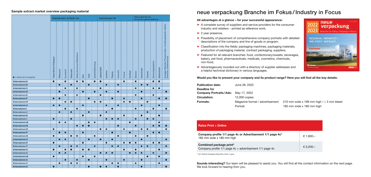### neue verpackung Branche im Fokus /Industry in Focus

#### All advantages at a glance – for your successful appearance:

- ➤ A complete survey of suppliers and service providers for the consumer industry and retailers – printed as reference work,
- ▶ 2 year presence,
- ➤ Possibility of placement of comprehensive company portraits with detailed descriptions of the company and line of goods or program,
- ➤ Classification into the fields: packaging machines, packaging materials, production of packaging material, contract packaging, suppliers,
- ➤ Featured for all relevant branches: food, confectionary/sweets, beverages, bakery, pet food, pharmaceuticals, medicals, cosmetics, chemicals, non-food,
- ➤ Advantageously rounded-out with a directory of supplier addresses and a helpful technical dictionary in various languages.

Company profile 1/1 page 4c or Advertisement 1/1 page 4c\* 185 mm wide  $x$  180 mm high

#### Would you like to present your company and its product range? Here you will find all the key details:

| <b>Publication date:</b>                   | June 28, 2022                   |
|--------------------------------------------|---------------------------------|
| Deadline for                               |                                 |
| <b>Company Portraits/Ads:</b> May 17, 2022 |                                 |
| <b>Circulation:</b>                        | $12,000$ copies                 |
| <b>Formats:</b>                            | Magazine format / advertisement |
|                                            | Portrait                        |
|                                            |                                 |

#### Sample extract market overview packaging material

|                        |                         |           | Verpackungen auf Basis von |           |                              |             |           |                   |              | Verpackungen für |           |           |           |           |           | Packmittel für die<br>Verpackungsausstattung |           |                   |              |                                                                                           |
|------------------------|-------------------------|-----------|----------------------------|-----------|------------------------------|-------------|-----------|-------------------|--------------|------------------|-----------|-----------|-----------|-----------|-----------|----------------------------------------------|-----------|-------------------|--------------|-------------------------------------------------------------------------------------------|
| · Haben wir im Angebot | Papier/Karton/Vollpappe | Wellpappe | Kunststoff                 | Verbunden | Metall (Aluminium/WeiBblech) | <b>Size</b> | Textil    | Keramik/Steinzeug | Lebensmittel | Getränke         | Pharma    | Kosmetik  | Chemie    | Nonfood   | Etikotton | Verschildse                                  | Doslerer  | Sicherungssysteme | Klebeblinder | Sonstige Hillsmittel (Trockenmittel, Urmeifungsbänder, Drähte,<br>Schnüren, Kantenschutz) |
| <b>Unternehmen A</b>   | $\bullet$               |           | О                          |           | о                            | о           |           | О                 | $\bullet$    |                  |           |           | $\bullet$ |           | О         |                                              |           | О                 | о            |                                                                                           |
| Unternehmen B          |                         | О         |                            | О         |                              |             | О         |                   |              | О                |           | О         |           |           |           | О                                            | О         |                   |              |                                                                                           |
| Unternehmen C          |                         |           | о                          |           | ٠                            |             |           |                   | $\bullet$    |                  |           |           |           |           | О         |                                              |           | $\bullet$         | $\bullet$    |                                                                                           |
| <b>Unternehmen D</b>   |                         | О         |                            |           |                              | О           |           | О                 |              | О                |           | О         |           |           |           | о                                            |           |                   |              | ۰                                                                                         |
| <b>Unternehmen E</b>   |                         |           | о                          |           | $\bullet$                    |             |           |                   | $\bullet$    |                  |           |           |           |           | $\bullet$ |                                              |           | о                 |              |                                                                                           |
| Unternehmen F          | $\bullet$               | $\bullet$ |                            |           |                              |             | О         |                   |              |                  | О         |           | $\bullet$ |           |           | О                                            |           |                   | О            | $\bullet$                                                                                 |
| Unternehmen G          |                         |           | $\bullet$                  | $\bullet$ |                              |             |           | $\bullet$         | $\bullet$    |                  |           |           | ٠         | о         |           |                                              | $\bullet$ |                   |              |                                                                                           |
| Unternehmen H          | О                       | О         |                            |           |                              | О           |           |                   |              | $\bullet$        |           | $\bullet$ |           |           |           | $\bullet$                                    |           |                   | О            |                                                                                           |
| Unternehmen I          |                         |           | о                          |           | о                            |             |           |                   |              |                  | о         |           |           |           | О         |                                              |           | о                 |              | О                                                                                         |
| Unternehmen J          |                         | о         |                            | о         |                              |             | о         |                   |              | $\bullet$        |           |           |           |           |           |                                              | О         |                   |              |                                                                                           |
| <b>Unternehmen K</b>   |                         |           |                            |           |                              | о           |           |                   | $\bullet$    |                  |           |           | $\bullet$ |           |           | О                                            |           |                   | О            |                                                                                           |
| <b>Unternehmen L</b>   | О                       |           |                            | О         |                              |             |           |                   |              | О                | О         | п         |           |           | О         |                                              | О         | О                 |              |                                                                                           |
| <b>Unternehmen M</b>   |                         | о         | О                          |           |                              |             | о         | О                 |              |                  |           |           |           | о         |           |                                              |           |                   | О            |                                                                                           |
| <b>Unternehmen N</b>   |                         |           |                            |           | О                            | О           |           |                   |              |                  |           | О         |           |           | О         |                                              |           | П                 |              |                                                                                           |
| Unternehmen O          | О                       |           |                            |           |                              |             |           |                   | $\bullet$    | О                |           |           | $\bullet$ |           |           | $\bullet$                                    | О         |                   |              | n                                                                                         |
| Unternehmen P          |                         | $\bullet$ | О                          |           |                              | $\bullet$   |           |                   |              |                  | $\bullet$ |           |           | $\bullet$ |           |                                              |           | $\bullet$         | О            |                                                                                           |
| Unternehmen Q          | $\bullet$               |           |                            | ۰         | ۰                            |             |           | $\bullet$         |              |                  |           | $\bullet$ |           |           | $\bullet$ |                                              | $\bullet$ |                   |              |                                                                                           |
| Unternehmen R          |                         | о         | о                          |           |                              |             | $\bullet$ |                   | $\bullet$    |                  | о         |           |           |           |           | $\bullet$                                    |           |                   |              | $\bullet$                                                                                 |
| <b>Unternehmen S</b>   | ۰                       |           |                            |           |                              | о           |           |                   |              | О                |           |           | ۰         | О         | О         |                                              |           | о                 | о            |                                                                                           |
| Unternehmen T          |                         | $\bullet$ |                            | $\bullet$ | О                            |             |           | О                 |              |                  | о         | О         |           |           |           | $\bullet$                                    | о         |                   |              | ◚                                                                                         |
| Unternehmen U          | $\bullet$               |           | О                          | О         |                              | О           | О         |                   |              |                  |           |           | $\bullet$ |           | О         |                                              |           |                   | О            |                                                                                           |
| <b>Unternehmen V</b>   |                         | о         | о                          |           |                              |             |           |                   | $\bullet$    | О                | о         |           |           | о         | О         | $\bullet$                                    |           | О                 |              | О                                                                                         |
| <b>Unternehmen W</b>   | $\bullet$               |           |                            |           |                              | О           |           | о                 |              |                  |           |           |           |           |           |                                              | $\bullet$ |                   | О            |                                                                                           |
| <b>Unternehmen X</b>   |                         |           | О                          |           | О                            |             | $\bullet$ |                   |              | О                |           |           | $\bullet$ |           |           | $\bullet$                                    |           |                   |              | $\bullet$                                                                                 |
| <b>Unternehmen Y</b>   |                         | О         |                            | О         | $\bullet$                    |             |           |                   |              |                  | О         | О         |           |           | О         |                                              |           |                   | О            |                                                                                           |
| Unternehmen Z          | $\bullet$               |           |                            |           |                              |             | $\bullet$ |                   | $\bullet$    | $\bullet$        |           | г         |           |           |           | $\bullet$                                    |           |                   |              |                                                                                           |

Sounds interesting? Our team will be pleased to assist you. You will find all the contact information on the next page. We look forward to hearing from you.

#### Rates Print + Online

#### Combined package print\*

Company profile  $1/1$  page  $4c +$  advertisement  $1/1$  page  $4c$ 

\* incl. Online Company Entry Plus, term: 1 year



210 mm wide x 198 mm high  $/ + 3$  mm bleed 185 mm wide x 180 mm high

| *<br>, | € 1,800.- |
|--------|-----------|
|        | € 3,200.- |